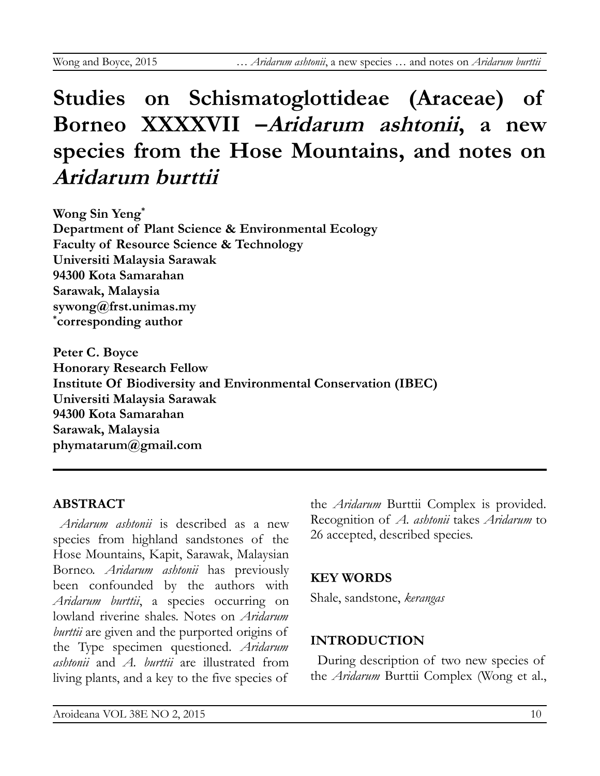# **Studies on Schismatoglottideae (Araceae) of Borneo XXXXVII –Aridarum ashtonii, a new species from the Hose Mountains, and notes on Aridarum burttii**

**Wong Sin Yeng\* Department of Plant Science & Environmental Ecology Faculty of Resource Science & Technology Universiti Malaysia Sarawak 94300 Kota Samarahan Sarawak, Malaysia sywong@frst.unimas.my \* corresponding author**

**Peter C. Boyce Honorary Research Fellow Institute Of Biodiversity and Environmental Conservation (IBEC) Universiti Malaysia Sarawak 94300 Kota Samarahan Sarawak, Malaysia phymatarum@gmail.com**

#### **ABSTRACT**

*Aridarum ashtonii* is described as a new species from highland sandstones of the Hose Mountains, Kapit, Sarawak, Malaysian Borneo. *Aridarum ashtonii* has previously been confounded by the authors with *Aridarum burttii*, a species occurring on lowland riverine shales. Notes on *Aridarum burttii* are given and the purported origins of the Type specimen questioned. *Aridarum ashtonii* and *A. burttii* are illustrated from living plants, and a key to the five species of

the *Aridarum* Burttii Complex is provided. Recognition of *A. ashtonii* takes *Aridarum* to 26 accepted, described species.

# **KEY WORDS**

Shale, sandstone, *kerangas*

# **INTRODUCTION**

During description of two new species of the *Aridarum* Burttii Complex (Wong et al.,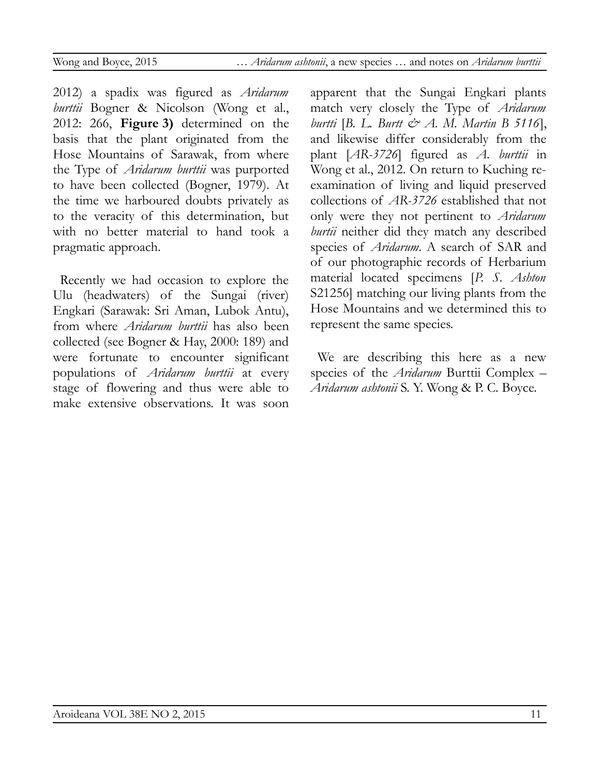2012) a spadix was figured as *Aridarum burttii* Bogner & Nicolson (Wong et al., 2012: 266, **Figure 3)** determined on the basis that the plant originated from the Hose Mountains of Sarawak, from where the Type of *Aridarum burttii* was purported to have been collected (Bogner, 1979). At the time we harboured doubts privately as to the veracity of this determination, but with no better material to hand took a pragmatic approach.

Recently we had occasion to explore the Ulu (headwaters) of the Sungai (river) Engkari (Sarawak: Sri Aman, Lubok Antu), from where *Aridarum burttii* has also been collected (see Bogner & Hay, 2000: 189) and were fortunate to encounter significant populations of *Aridarum burttii* at every stage of flowering and thus were able to make extensive observations. It was soon

apparent that the Sungai Engkari plants match very closely the Type of *Aridarum burtti* [*B. L. Burtt & A. M. Martin B 5116*], and likewise differ considerably from the plant [*AR-3726*] figured as *A. burttii* in Wong et al., 2012. On return to Kuching reexamination of living and liquid preserved collections of *AR-3726* established that not only were they not pertinent to *Aridarum burtii* neither did they match any described species of *Aridarum*. A search of SAR and of our photographic records of Herbarium material located specimens [*P. S. Ashton* S21256] matching our living plants from the Hose Mountains and we determined this to represent the same species.

We are describing this here as a new species of the *Aridarum* Burttii Complex – *Aridarum ashtonii* S. Y. Wong & P. C. Boyce.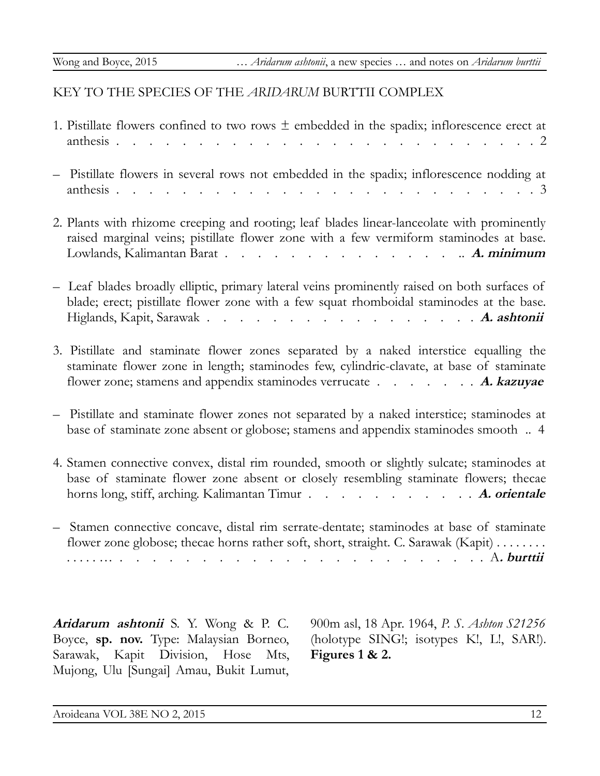## KEY TO THE SPECIES OF THE *ARIDARUM* BURTTII COMPLEX

| 1. Pistillate flowers confined to two rows $\pm$ embedded in the spadix; inflorescence erect at<br>anthesis<br>. 2                                                                                                                                      |
|---------------------------------------------------------------------------------------------------------------------------------------------------------------------------------------------------------------------------------------------------------|
| Pistillate flowers in several rows not embedded in the spadix; inflorescence nodding at<br>anthesis.<br>. 3                                                                                                                                             |
| 2. Plants with rhizome creeping and rooting; leaf blades linear-lanceolate with prominently<br>raised marginal veins; pistillate flower zone with a few vermiform staminodes at base.                                                                   |
| Leaf blades broadly elliptic, primary lateral veins prominently raised on both surfaces of<br>blade; erect; pistillate flower zone with a few squat rhomboidal staminodes at the base.<br>Higlands, Kapit, Sarawak A. ashtonii                          |
| 3. Pistillate and staminate flower zones separated by a naked interstice equalling the<br>staminate flower zone in length; staminodes few, cylindric-clavate, at base of staminate<br>flower zone; stamens and appendix staminodes verrucate A. kazuyae |
| Pistillate and staminate flower zones not separated by a naked interstice; staminodes at<br>base of staminate zone absent or globose; stamens and appendix staminodes smooth  4                                                                         |
| 4. Stamen connective convex, distal rim rounded, smooth or slightly sulcate; staminodes at<br>base of staminate flower zone absent or closely resembling staminate flowers; thecae<br>horns long, stiff, arching. Kalimantan Timur A. orientale         |
| Stamen connective concave, distal rim serrate-dentate; staminodes at base of staminate<br>flower zone globose; thecae horns rather soft, short, straight. C. Sarawak (Kapit)<br>. A. burttii                                                            |
|                                                                                                                                                                                                                                                         |

**Aridarum ashtonii** S. Y. Wong & P. C. Boyce, **sp. nov.** Type: Malaysian Borneo, Sarawak, Kapit Division, Hose Mts, Mujong, Ulu [Sungai] Amau, Bukit Lumut,

900m asl, 18 Apr. 1964, *P. S. Ashton S21256* (holotype SING!; isotypes K!, L!, SAR!). **Figures 1 & 2.**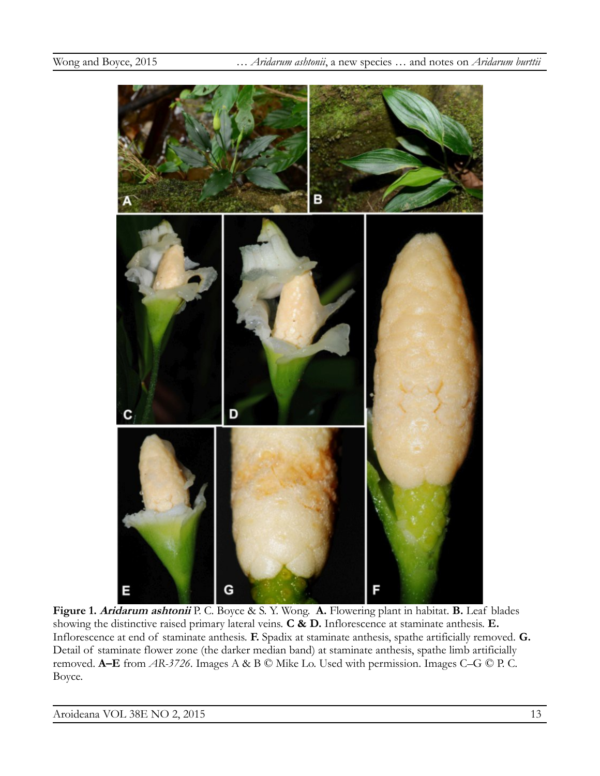

**Figure 1. Aridarum ashtonii** P. C. Boyce & S. Y. Wong. **A.** Flowering plant in habitat. **B.** Leaf blades showing the distinctive raised primary lateral veins. **C & D.** Inflorescence at staminate anthesis. **E.**  Inflorescence at end of staminate anthesis. **F.** Spadix at staminate anthesis, spathe artificially removed. **G.** Detail of staminate flower zone (the darker median band) at staminate anthesis, spathe limb artificially removed. **A–E** from *AR-3726*. Images A & B © Mike Lo. Used with permission. Images C–G © P. C. Boyce.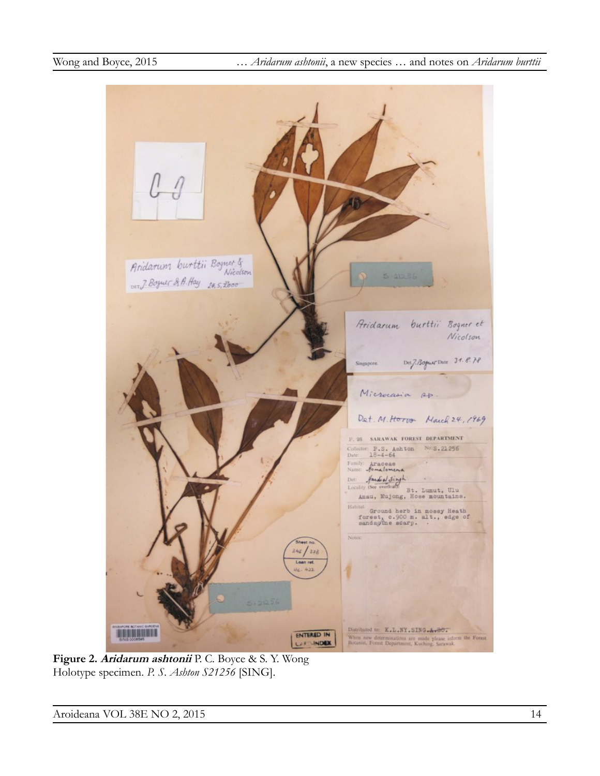

**Figure 2. Aridarum ashtonii** P. C. Boyce & S. Y. Wong Holotype specimen. *P. S. Ashton S21256* [SING].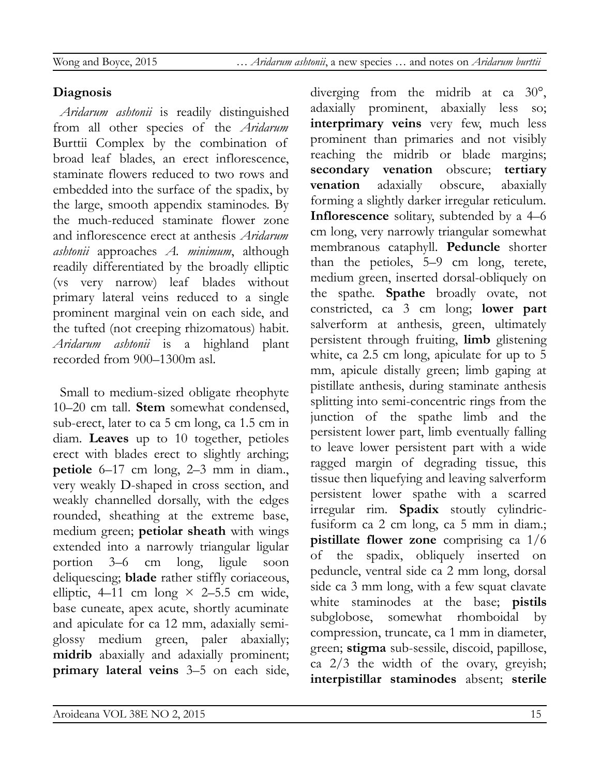# **Diagnosis**

*Aridarum ashtonii* is readily distinguished from all other species of the *Aridarum* Burttii Complex by the combination of broad leaf blades, an erect inflorescence, staminate flowers reduced to two rows and embedded into the surface of the spadix, by the large, smooth appendix staminodes. By the much-reduced staminate flower zone and inflorescence erect at anthesis *Aridarum ashtonii* approaches *A. minimum*, although readily differentiated by the broadly elliptic (vs very narrow) leaf blades without primary lateral veins reduced to a single prominent marginal vein on each side, and the tufted (not creeping rhizomatous) habit. *Aridarum ashtonii* is a highland plant recorded from 900–1300m asl.

Small to medium-sized obligate rheophyte 10–20 cm tall. **Stem** somewhat condensed, sub-erect, later to ca 5 cm long, ca 1.5 cm in diam. **Leaves** up to 10 together, petioles erect with blades erect to slightly arching; **petiole** 6–17 cm long, 2–3 mm in diam., very weakly D-shaped in cross section, and weakly channelled dorsally, with the edges rounded, sheathing at the extreme base, medium green; **petiolar sheath** with wings extended into a narrowly triangular ligular portion 3–6 cm long, ligule soon deliquescing; **blade** rather stiffly coriaceous, elliptic, 4–11 cm long  $\times$  2–5.5 cm wide, base cuneate, apex acute, shortly acuminate and apiculate for ca 12 mm, adaxially semiglossy medium green, paler abaxially; **midrib** abaxially and adaxially prominent; **primary lateral veins** 3–5 on each side, diverging from the midrib at ca 30°, adaxially prominent, abaxially less so; **interprimary veins** very few, much less prominent than primaries and not visibly reaching the midrib or blade margins; **secondary venation** obscure; **tertiary venation** adaxially obscure, abaxially forming a slightly darker irregular reticulum. **Inflorescence** solitary, subtended by a 4–6 cm long, very narrowly triangular somewhat membranous cataphyll. **Peduncle** shorter than the petioles, 5–9 cm long, terete, medium green, inserted dorsal-obliquely on the spathe. **Spathe** broadly ovate, not constricted, ca 3 cm long; **lower part** salverform at anthesis, green, ultimately persistent through fruiting, **limb** glistening white, ca 2.5 cm long, apiculate for up to 5 mm, apicule distally green; limb gaping at pistillate anthesis, during staminate anthesis splitting into semi-concentric rings from the junction of the spathe limb and the persistent lower part, limb eventually falling to leave lower persistent part with a wide ragged margin of degrading tissue, this tissue then liquefying and leaving salverform persistent lower spathe with a scarred irregular rim. **Spadix** stoutly cylindricfusiform ca 2 cm long, ca 5 mm in diam.; **pistillate flower zone** comprising ca 1/6 of the spadix, obliquely inserted on peduncle, ventral side ca 2 mm long, dorsal side ca 3 mm long, with a few squat clavate white staminodes at the base; **pistils** subglobose, somewhat rhomboidal by compression, truncate, ca 1 mm in diameter, green; **stigma** sub-sessile, discoid, papillose, ca 2/3 the width of the ovary, greyish; **interpistillar staminodes** absent; **sterile**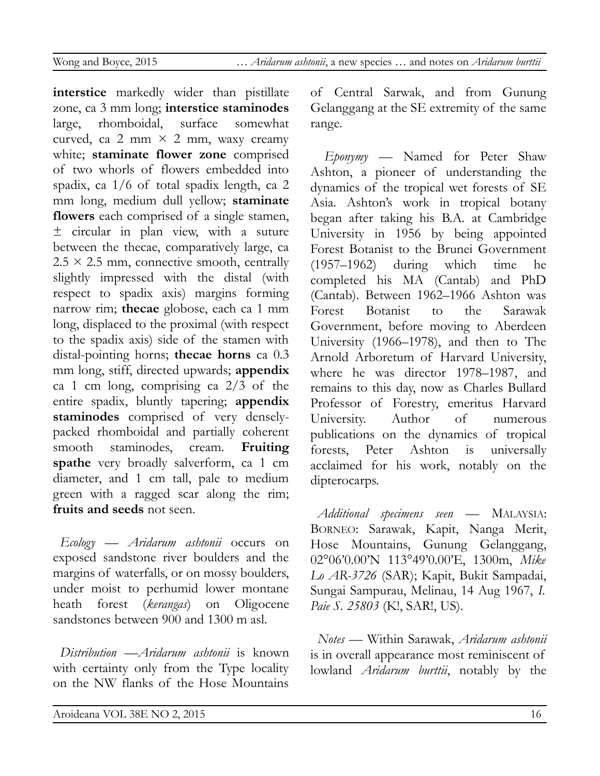**interstice** markedly wider than pistillate zone, ca 3 mm long; **interstice staminodes** large, rhomboidal, surface somewhat curved, ca 2 mm  $\times$  2 mm, waxy creamy white; **staminate flower zone** comprised of two whorls of flowers embedded into spadix, ca 1/6 of total spadix length, ca 2 mm long, medium dull yellow; **staminate flowers** each comprised of a single stamen, ± circular in plan view, with a suture between the thecae, comparatively large, ca  $2.5 \times 2.5$  mm, connective smooth, centrally slightly impressed with the distal (with respect to spadix axis) margins forming narrow rim; **thecae** globose, each ca 1 mm long, displaced to the proximal (with respect to the spadix axis) side of the stamen with distal-pointing horns; **thecae horns** ca 0.3 mm long, stiff, directed upwards; **appendix** ca 1 cm long, comprising ca  $2/3$  of the entire spadix, bluntly tapering; **appendix staminodes** comprised of very denselypacked rhomboidal and partially coherent smooth staminodes, cream. **Fruiting spathe** very broadly salverform, ca 1 cm diameter, and 1 cm tall, pale to medium green with a ragged scar along the rim; **fruits and seeds** not seen.

*Ecology* — *Aridarum ashtonii* occurs on exposed sandstone river boulders and the margins of waterfalls, or on mossy boulders, under moist to perhumid lower montane heath forest (*kerangas*) on Oligocene sandstones between 900 and 1300 m asl.

*Distribution* —*Aridarum ashtonii* is known with certainty only from the Type locality on the NW flanks of the Hose Mountains

of Central Sarwak, and from Gunung Gelanggang at the SE extremity of the same range.

*Eponymy* — Named for Peter Shaw Ashton, a pioneer of understanding the dynamics of the tropical wet forests of SE Asia. Ashton's work in tropical botany began after taking his B.A. at Cambridge University in 1956 by being appointed Forest Botanist to the Brunei Government (1957–1962) during which time he completed his MA (Cantab) and PhD (Cantab). Between 1962–1966 Ashton was Forest Botanist to the Sarawak Government, before moving to Aberdeen University (1966–1978), and then to The Arnold Arboretum of Harvard University, where he was director 1978–1987, and remains to this day, now as Charles Bullard Professor of Forestry, emeritus Harvard University. Author of numerous publications on the dynamics of tropical forests, Peter Ashton is universally acclaimed for his work, notably on the dipterocarps.

*Additional specimens seen* — MALAYSIA: BORNEO: Sarawak, Kapit, Nanga Merit, Hose Mountains, Gunung Gelanggang, 02°06'0.00'N 113°49'0.00'E, 1300m, *Mike Lo AR-3726* (SAR); Kapit, Bukit Sampadai, Sungai Sampurau, Melinau, 14 Aug 1967, *I. Paie S. 25803* (K!, SAR!, US).

*Notes* — Within Sarawak, *Aridarum ashtonii* is in overall appearance most reminiscent of lowland *Aridarum burttii*, notably by the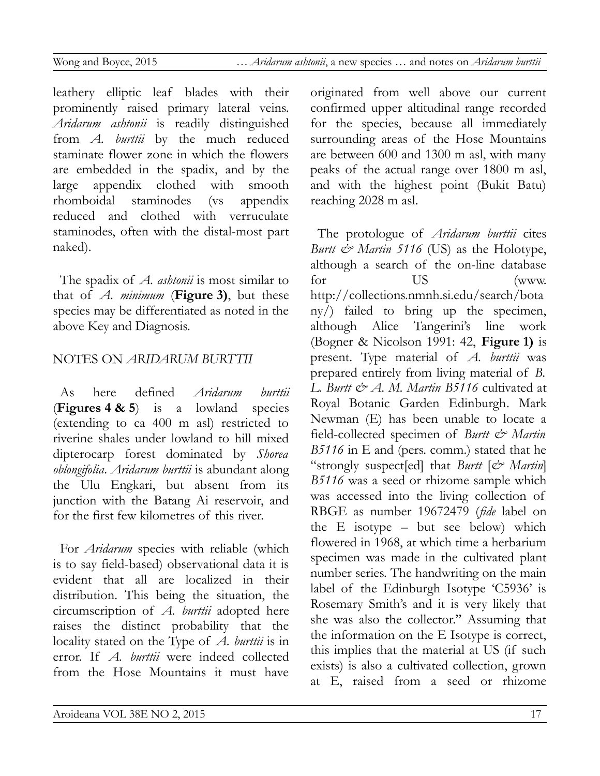leathery elliptic leaf blades with their prominently raised primary lateral veins. *Aridarum ashtonii* is readily distinguished from *A. burttii* by the much reduced staminate flower zone in which the flowers are embedded in the spadix, and by the large appendix clothed with smooth rhomboidal staminodes (vs appendix reduced and clothed with verruculate staminodes, often with the distal-most part naked).

The spadix of *A. ashtonii* is most similar to that of *A. minimum* (**Figure 3)**, but these species may be differentiated as noted in the above Key and Diagnosis.

# NOTES ON *ARIDARUM BURTTII*

As here defined *Aridarum burttii* (**Figures 4 & 5**) is a lowland species (extending to ca 400 m asl) restricted to riverine shales under lowland to hill mixed dipterocarp forest dominated by *Shorea oblongifolia*. *Aridarum burttii* is abundant along the Ulu Engkari, but absent from its junction with the Batang Ai reservoir, and for the first few kilometres of this river.

For *Aridarum* species with reliable (which is to say field-based) observational data it is evident that all are localized in their distribution. This being the situation, the circumscription of *A. burttii* adopted here raises the distinct probability that the locality stated on the Type of *A. burttii* is in error. If *A. burttii* were indeed collected from the Hose Mountains it must have

originated from well above our current confirmed upper altitudinal range recorded for the species, because all immediately surrounding areas of the Hose Mountains are between 600 and 1300 m asl, with many peaks of the actual range over 1800 m asl, and with the highest point (Bukit Batu) reaching 2028 m asl.

The protologue of *Aridarum burttii* cites *Burtt & Martin 5116* (US) as the Holotype, although a search of the on-line database for US (www. http://collections.nmnh.si.edu/search/bota ny/) failed to bring up the specimen, although Alice Tangerini's line work (Bogner & Nicolson 1991: 42, **Figure 1)** is present. Type material of *A. burttii* was prepared entirely from living material of *B. L. Burtt & A. M. Martin B5116* cultivated at Royal Botanic Garden Edinburgh. Mark Newman (E) has been unable to locate a field-collected specimen of *Burtt & Martin B5116* in E and (pers. comm.) stated that he "strongly suspect[ed] that *Burtt* [*& Martin*] *B5116* was a seed or rhizome sample which was accessed into the living collection of RBGE as number 19672479 (*fide* label on the E isotype – but see below) which flowered in 1968, at which time a herbarium specimen was made in the cultivated plant number series. The handwriting on the main label of the Edinburgh Isotype 'C5936' is Rosemary Smith's and it is very likely that she was also the collector." Assuming that the information on the E Isotype is correct, this implies that the material at US (if such exists) is also a cultivated collection, grown at E, raised from a seed or rhizome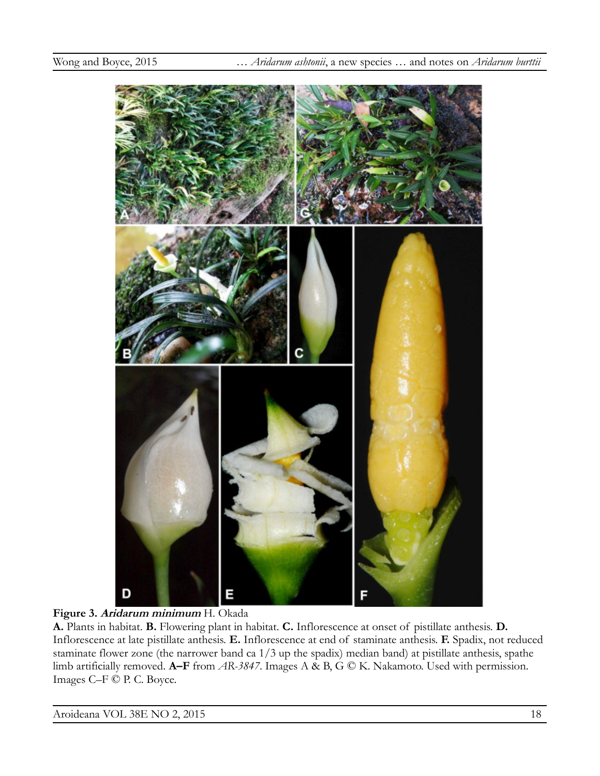

#### **Figure 3. Aridarum minimum** H. Okada

**A.** Plants in habitat. **B.** Flowering plant in habitat. **C.** Inflorescence at onset of pistillate anthesis. **D.**  Inflorescence at late pistillate anthesis. **E.** Inflorescence at end of staminate anthesis. **F.** Spadix, not reduced staminate flower zone (the narrower band ca 1/3 up the spadix) median band) at pistillate anthesis, spathe limb artificially removed. **A–F** from *AR-3847*. Images A & B, G © K. Nakamoto. Used with permission. Images C–F © P. C. Boyce.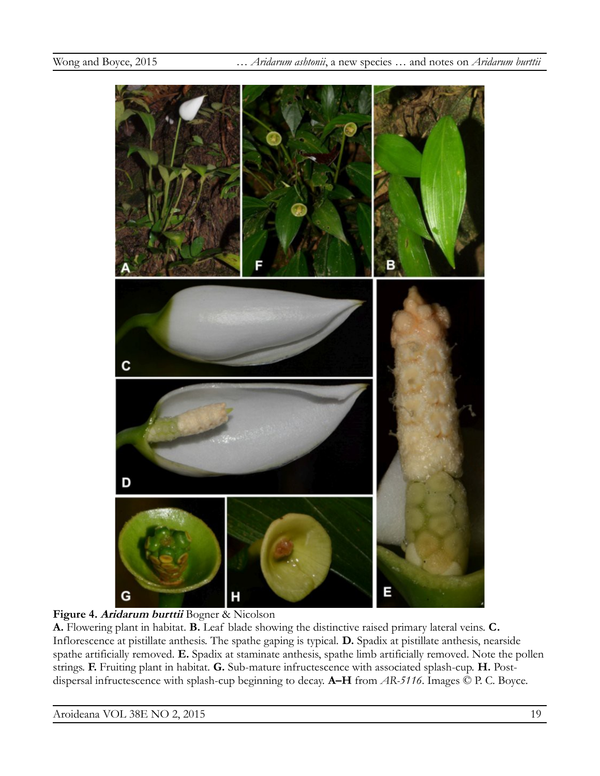

#### **Figure 4. Aridarum burttii** Bogner & Nicolson

**A.** Flowering plant in habitat. **B.** Leaf blade showing the distinctive raised primary lateral veins. **C.**  Inflorescence at pistillate anthesis. The spathe gaping is typical. **D.** Spadix at pistillate anthesis, nearside spathe artificially removed. **E.** Spadix at staminate anthesis, spathe limb artificially removed. Note the pollen strings. **F.** Fruiting plant in habitat. **G.** Sub-mature infructescence with associated splash-cup. **H.** Postdispersal infructescence with splash-cup beginning to decay. **A–H** from *AR-5116*. Images © P. C. Boyce.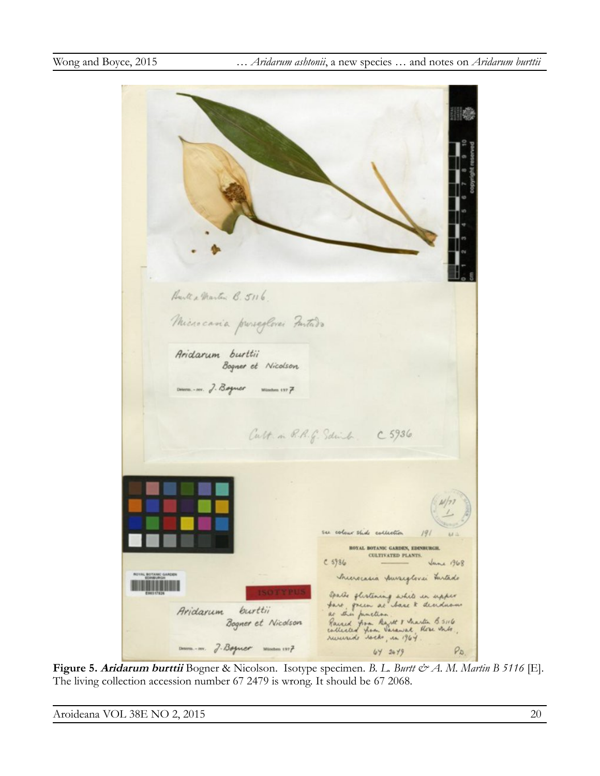Barte & Martin B. 5116 Microcavia preseglerai Fustado Aridarum burttii Bogner et Nicolson Determ. - nov. J. Boyner Muschen 1977 Cult in R.R.G. Sdink. C 5936. su colour slide collection ROYAL BOTANIC GARDEN, EDINBURGH. CULTIVATED PLANTS.  $C 5986$ **Jane 1968** Incerecasia pursiglevei tartado Spails stirtening while in upper<br>face pries at base & denderows<br>Rained from Rayte & Anastin B 5:16<br>Collisted from Sarawak, three mile, burttii Aridarum Bogner et Nicolson  $Dnum.m.$   $7.8$ oguer  $num.m?$  $P_{D}$  $64 2449$ 

**Figure 5. Aridarum burttii** Bogner & Nicolson. Isotype specimen. *B. L. Burtt & A. M. Martin B 5116* [E]. The living collection accession number 67 2479 is wrong. It should be 67 2068.

Aroideana VOL 38E NO 2, 2015 20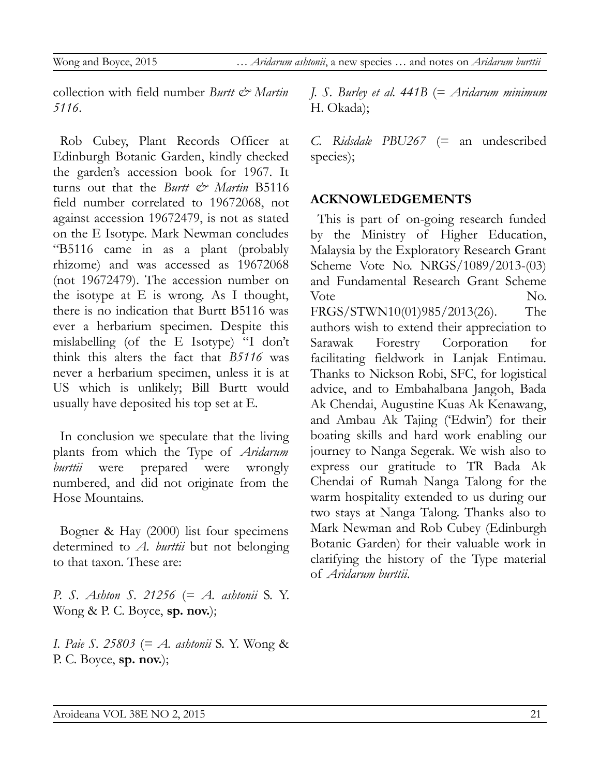Wong and Boyce, 2015 … *Aridarum ashtonii*, a new species … and notes on *Aridarum burttii*

collection with field number *Burtt & Martin 5116*.

Rob Cubey, Plant Records Officer at Edinburgh Botanic Garden, kindly checked the garden's accession book for 1967. It turns out that the *Burtt & Martin* B5116 field number correlated to 19672068, not against accession 19672479, is not as stated on the E Isotype. Mark Newman concludes "B5116 came in as a plant (probably rhizome) and was accessed as 19672068 (not 19672479). The accession number on the isotype at E is wrong. As I thought, there is no indication that Burtt B5116 was ever a herbarium specimen. Despite this mislabelling (of the E Isotype) "I don't think this alters the fact that *B5116* was never a herbarium specimen, unless it is at US which is unlikely; Bill Burtt would usually have deposited his top set at E.

In conclusion we speculate that the living plants from which the Type of *Aridarum burttii* were prepared were wrongly numbered, and did not originate from the Hose Mountains.

Bogner & Hay (2000) list four specimens determined to *A. burttii* but not belonging to that taxon. These are:

*P. S. Ashton S. 21256* (= *A. ashtonii* S. Y. Wong & P. C. Boyce, **sp. nov.**);

*I. Paie S. 25803* (= *A. ashtonii* S. Y. Wong & P. C. Boyce, **sp. nov.**);

*J. S. Burley et al. 441B* (= *Aridarum minimum* H. Okada);

*C. Ridsdale PBU267* (= an undescribed species);

#### **ACKNOWLEDGEMENTS**

This is part of on-going research funded by the Ministry of Higher Education, Malaysia by the Exploratory Research Grant Scheme Vote No. NRGS/1089/2013-(03) and Fundamental Research Grant Scheme Vote No. FRGS/STWN10(01)985/2013(26). The authors wish to extend their appreciation to Sarawak Forestry Corporation for facilitating fieldwork in Lanjak Entimau. Thanks to Nickson Robi, SFC, for logistical advice, and to Embahalbana Jangoh, Bada Ak Chendai, Augustine Kuas Ak Kenawang, and Ambau Ak Tajing ('Edwin') for their boating skills and hard work enabling our journey to Nanga Segerak. We wish also to express our gratitude to TR Bada Ak Chendai of Rumah Nanga Talong for the warm hospitality extended to us during our two stays at Nanga Talong. Thanks also to Mark Newman and Rob Cubey (Edinburgh Botanic Garden) for their valuable work in clarifying the history of the Type material of *Aridarum burttii*.